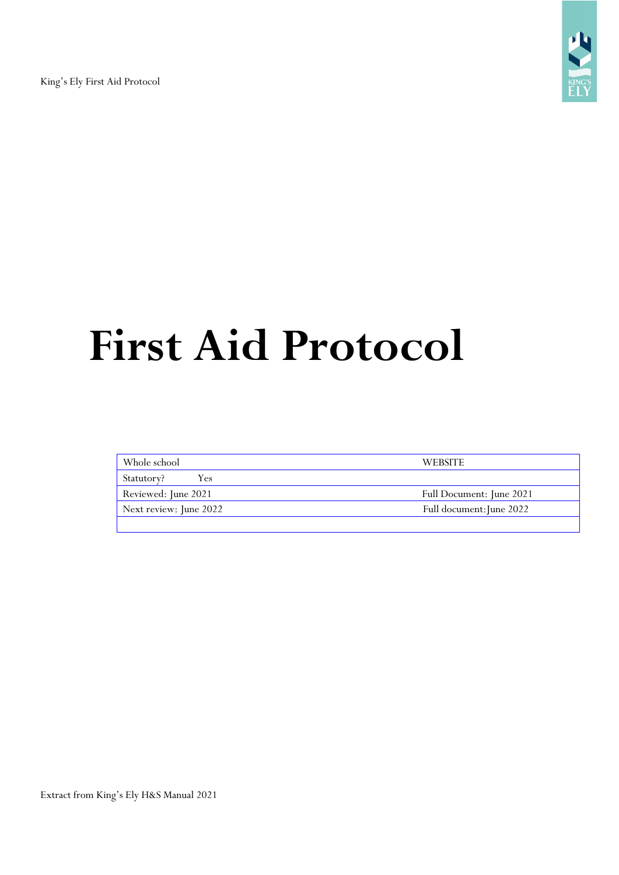King's Ely First Aid Protocol



# **First Aid Protocol**

| Whole school           | <b>WEBSITE</b>           |
|------------------------|--------------------------|
| Statutory?<br>Y es     |                          |
| Reviewed: June 2021    | Full Document: June 2021 |
| Next review: June 2022 | Full document: June 2022 |
|                        |                          |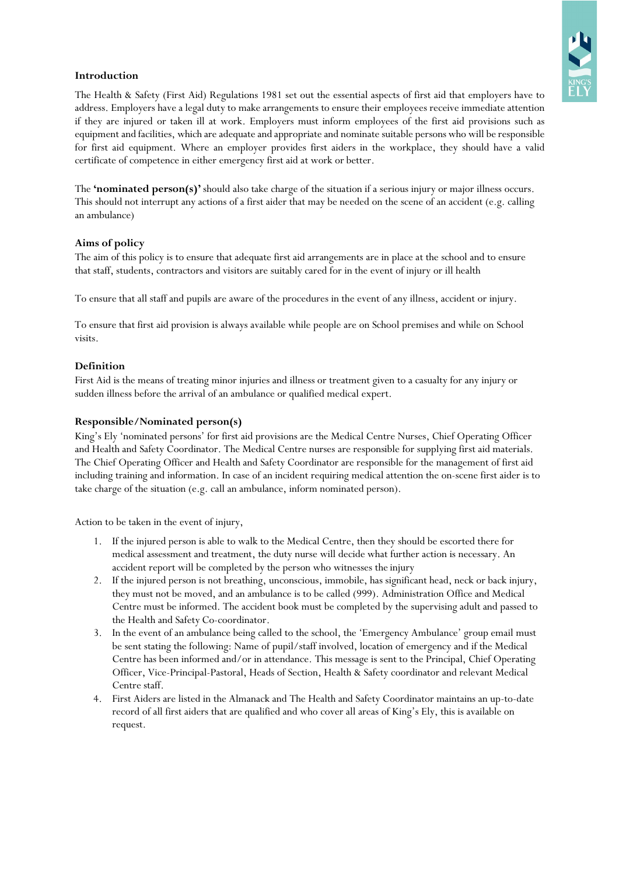

## **Introduction**

The Health & Safety (First Aid) Regulations 1981 set out the essential aspects of first aid that employers have to address. Employers have a legal duty to make arrangements to ensure their employees receive immediate attention if they are injured or taken ill at work. Employers must inform employees of the first aid provisions such as equipment and facilities, which are adequate and appropriate and nominate suitable personswho will be responsible for first aid equipment. Where an employer provides first aiders in the workplace, they should have a valid certificate of competence in either emergency first aid at work or better.

The **'nominated person(s)'** should also take charge of the situation if a serious injury or major illness occurs. This should not interrupt any actions of a first aider that may be needed on the scene of an accident (e.g. calling an ambulance)

## **Aims of policy**

The aim of this policy is to ensure that adequate first aid arrangements are in place at the school and to ensure that staff, students, contractors and visitors are suitably cared for in the event of injury or ill health

To ensure that all staff and pupils are aware of the procedures in the event of any illness, accident or injury.

To ensure that first aid provision is always available while people are on School premises and while on School visits.

## **Definition**

First Aid is the means of treating minor injuries and illness or treatment given to a casualty for any injury or sudden illness before the arrival of an ambulance or qualified medical expert.

## **Responsible/Nominated person(s)**

King's Ely 'nominated persons' for first aid provisions are the Medical Centre Nurses, Chief Operating Officer and Health and Safety Coordinator. The Medical Centre nurses are responsible for supplying first aid materials. The Chief Operating Officer and Health and Safety Coordinator are responsible for the management of first aid including training and information. In case of an incident requiring medical attention the on-scene first aider is to take charge of the situation (e.g. call an ambulance, inform nominated person).

Action to be taken in the event of injury,

- 1. If the injured person is able to walk to the Medical Centre, then they should be escorted there for medical assessment and treatment, the duty nurse will decide what further action is necessary. An accident report will be completed by the person who witnesses the injury
- 2. If the injured person is not breathing, unconscious, immobile, has significant head, neck or back injury, they must not be moved, and an ambulance is to be called (999). Administration Office and Medical Centre must be informed. The accident book must be completed by the supervising adult and passed to the Health and Safety Co-coordinator.
- 3. In the event of an ambulance being called to the school, the 'Emergency Ambulance' group email must be sent stating the following: Name of pupil/staff involved, location of emergency and if the Medical Centre has been informed and/or in attendance. This message is sent to the Principal, Chief Operating Officer, Vice-Principal-Pastoral, Heads of Section, Health & Safety coordinator and relevant Medical Centre staff.
- 4. First Aiders are listed in the Almanack and The Health and Safety Coordinator maintains an up-to-date record of all first aiders that are qualified and who cover all areas of King's Ely, this is available on request.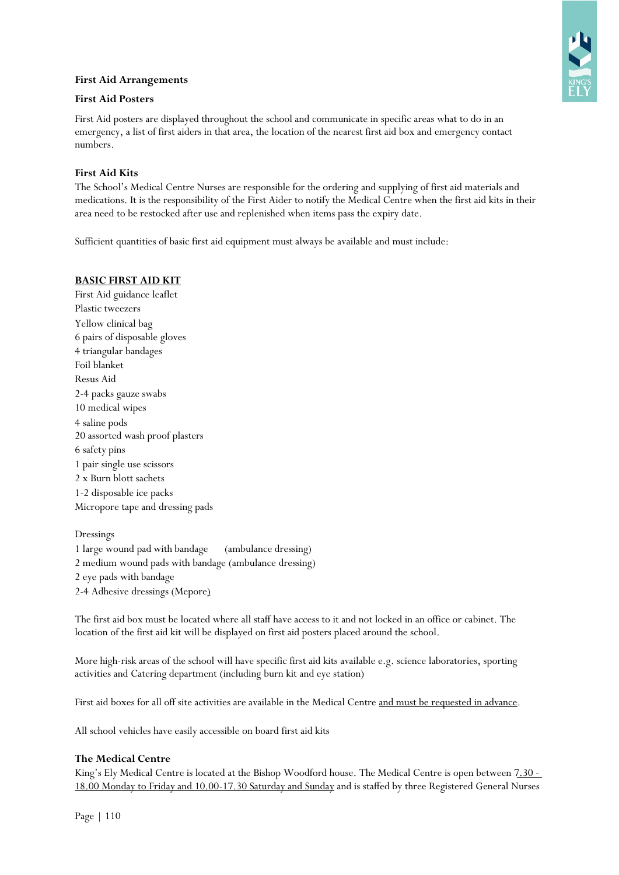## **First Aid Arrangements**



## **First Aid Posters**

First Aid posters are displayed throughout the school and communicate in specific areas what to do in an emergency, a list of first aiders in that area, the location of the nearest first aid box and emergency contact numbers.

## **First Aid Kits**

The School's Medical Centre Nurses are responsible for the ordering and supplying of first aid materials and medications. It is the responsibility of the First Aider to notify the Medical Centre when the first aid kits in their area need to be restocked after use and replenished when items pass the expiry date.

Sufficient quantities of basic first aid equipment must always be available and must include:

#### **BASIC FIRST AID KIT**

First Aid guidance leaflet Plastic tweezers Yellow clinical bag 6 pairs of disposable gloves 4 triangular bandages Foil blanket Resus Aid 2-4 packs gauze swabs 10 medical wipes 4 saline pods 20 assorted wash proof plasters 6 safety pins 1 pair single use scissors 2 x Burn blott sachets 1-2 disposable ice packs Micropore tape and dressing pads

Dressings 1 large wound pad with bandage (ambulance dressing) 2 medium wound pads with bandage (ambulance dressing) 2 eye pads with bandage 2-4 Adhesive dressings (Mepore)

The first aid box must be located where all staff have access to it and not locked in an office or cabinet. The location of the first aid kit will be displayed on first aid posters placed around the school.

More high-risk areas of the school will have specific first aid kits available e.g. science laboratories, sporting activities and Catering department (including burn kit and eye station)

First aid boxes for all off site activities are available in the Medical Centre and must be requested in advance.

All school vehicles have easily accessible on board first aid kits

## **The Medical Centre**

King's Ely Medical Centre is located at the Bishop Woodford house. The Medical Centre is open between 7.30 -18.00 Monday to Friday and 10.00-17.30 Saturday and Sunday and is staffed by three Registered General Nurses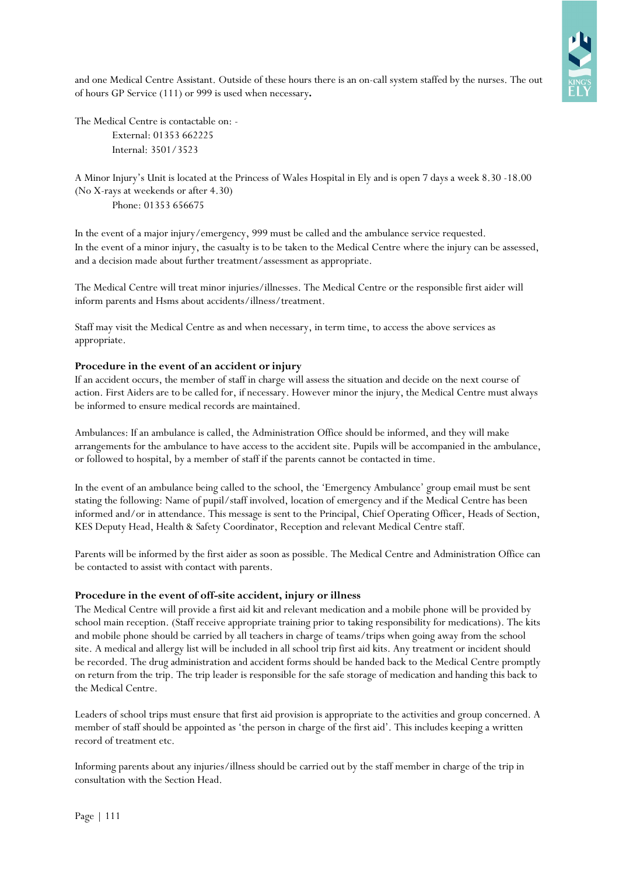**RELY** 

and one Medical Centre Assistant. Outside of these hours there is an on-call system staffed by the nurses. The out of hours GP Service (111) or 999 is used when necessary**.**

The Medical Centre is contactable on: - External: 01353 662225 Internal: 3501/3523

A Minor Injury's Unit is located at the Princess of Wales Hospital in Ely and is open 7 days a week 8.30 -18.00 (No X-rays at weekends or after 4.30) Phone: 01353 656675

In the event of a major injury/emergency, 999 must be called and the ambulance service requested. In the event of a minor injury, the casualty is to be taken to the Medical Centre where the injury can be assessed, and a decision made about further treatment/assessment as appropriate.

The Medical Centre will treat minor injuries/illnesses. The Medical Centre or the responsible first aider will inform parents and Hsms about accidents/illness/treatment.

Staff may visit the Medical Centre as and when necessary, in term time, to access the above services as appropriate.

## **Procedure in the event of an accident or injury**

If an accident occurs, the member of staff in charge will assess the situation and decide on the next course of action. First Aiders are to be called for, if necessary. However minor the injury, the Medical Centre must always be informed to ensure medical records are maintained.

Ambulances: If an ambulance is called, the Administration Office should be informed, and they will make arrangements for the ambulance to have access to the accident site. Pupils will be accompanied in the ambulance, or followed to hospital, by a member of staff if the parents cannot be contacted in time.

In the event of an ambulance being called to the school, the 'Emergency Ambulance' group email must be sent stating the following: Name of pupil/staff involved, location of emergency and if the Medical Centre has been informed and/or in attendance. This message is sent to the Principal, Chief Operating Officer, Heads of Section, KES Deputy Head, Health & Safety Coordinator, Reception and relevant Medical Centre staff.

Parents will be informed by the first aider as soon as possible. The Medical Centre and Administration Office can be contacted to assist with contact with parents.

## **Procedure in the event of off-site accident, injury or illness**

The Medical Centre will provide a first aid kit and relevant medication and a mobile phone will be provided by school main reception. (Staff receive appropriate training prior to taking responsibility for medications). The kits and mobile phone should be carried by all teachers in charge of teams/trips when going away from the school site. A medical and allergy list will be included in all school trip first aid kits. Any treatment or incident should be recorded. The drug administration and accident forms should be handed back to the Medical Centre promptly on return from the trip. The trip leader is responsible for the safe storage of medication and handing this back to the Medical Centre.

Leaders of school trips must ensure that first aid provision is appropriate to the activities and group concerned. A member of staff should be appointed as 'the person in charge of the first aid'. This includes keeping a written record of treatment etc.

Informing parents about any injuries/illness should be carried out by the staff member in charge of the trip in consultation with the Section Head.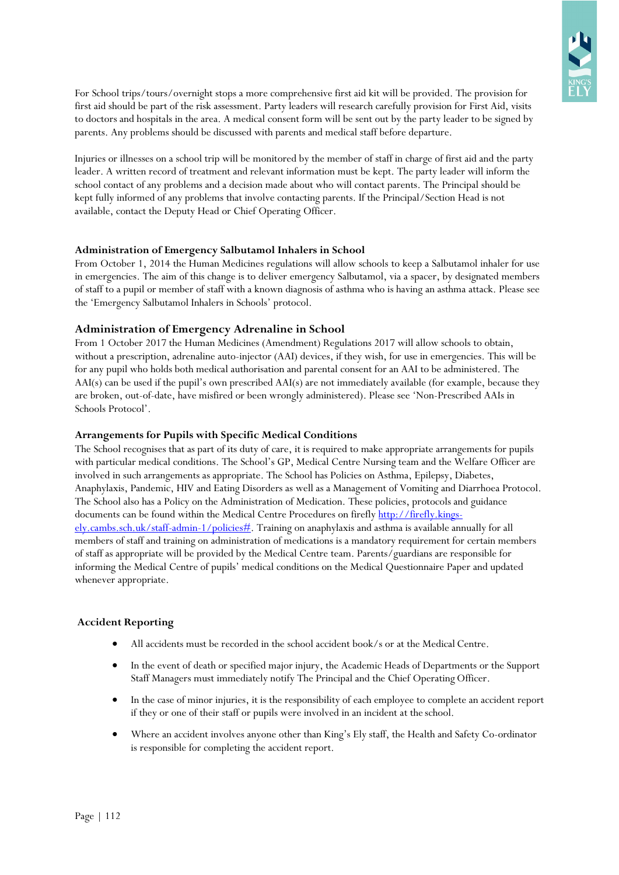For School trips/tours/overnight stops a more comprehensive first aid kit will be provided. The provision for first aid should be part of the risk assessment. Party leaders will research carefully provision for First Aid, visits to doctors and hospitals in the area. A medical consent form will be sent out by the party leader to be signed by parents. Any problems should be discussed with parents and medical staff before departure.

Injuries or illnesses on a school trip will be monitored by the member of staff in charge of first aid and the party leader. A written record of treatment and relevant information must be kept. The party leader will inform the school contact of any problems and a decision made about who will contact parents. The Principal should be kept fully informed of any problems that involve contacting parents. If the Principal/Section Head is not available, contact the Deputy Head or Chief Operating Officer.

## **Administration of Emergency Salbutamol Inhalers in School**

From October 1, 2014 the Human Medicines regulations will allow schools to keep a Salbutamol inhaler for use in emergencies. The aim of this change is to deliver emergency Salbutamol, via a spacer, by designated members of staff to a pupil or member of staff with a known diagnosis of asthma who is having an asthma attack. Please see the 'Emergency Salbutamol Inhalers in Schools' protocol.

# **Administration of Emergency Adrenaline in School**

From 1 October 2017 the Human Medicines (Amendment) Regulations 2017 will allow schools to obtain, without a prescription, adrenaline auto-injector (AAI) devices, if they wish, for use in emergencies. This will be for any pupil who holds both medical authorisation and parental consent for an AAI to be administered. The AAI(s) can be used if the pupil's own prescribed AAI(s) are not immediately available (for example, because they are broken, out-of-date, have misfired or been wrongly administered). Please see 'Non-Prescribed AAIs in Schools Protocol'.

# **Arrangements for Pupils with Specific Medical Conditions**

The School recognises that as part of its duty of care, it is required to make appropriate arrangements for pupils with particular medical conditions. The School's GP, Medical Centre Nursing team and the Welfare Officer are involved in such arrangements as appropriate. The School has Policies on Asthma, Epilepsy, Diabetes, Anaphylaxis, Pandemic, HIV and Eating Disorders as well as a Management of Vomiting and Diarrhoea Protocol. The School also has a Policy on the Administration of Medication. These policies, protocols and guidance documents can be found within the Medical Centre Procedures on firefly [http://firefly.kings](http://firefly.kings-ely.cambs.sch.uk/staff-admin-1/policies)[ely.cambs.sch.uk/staff-admin-1/policies#.](http://firefly.kings-ely.cambs.sch.uk/staff-admin-1/policies) Training on anaphylaxis and asthma is available annually for all members of staff and training on administration of medications is a mandatory requirement for certain members of staff as appropriate will be provided by the Medical Centre team. Parents/guardians are responsible for informing the Medical Centre of pupils' medical conditions on the Medical Questionnaire Paper and updated whenever appropriate.

# **Accident Reporting**

- All accidents must be recorded in the school accident book/s or at the Medical Centre.
- In the event of death or specified major injury, the Academic Heads of Departments or the Support Staff Managers must immediately notify The Principal and the Chief Operating Officer.
- In the case of minor injuries, it is the responsibility of each employee to complete an accident report if they or one of their staff or pupils were involved in an incident at the school.
- Where an accident involves anyone other than King's Ely staff, the Health and Safety Co-ordinator is responsible for completing the accident report.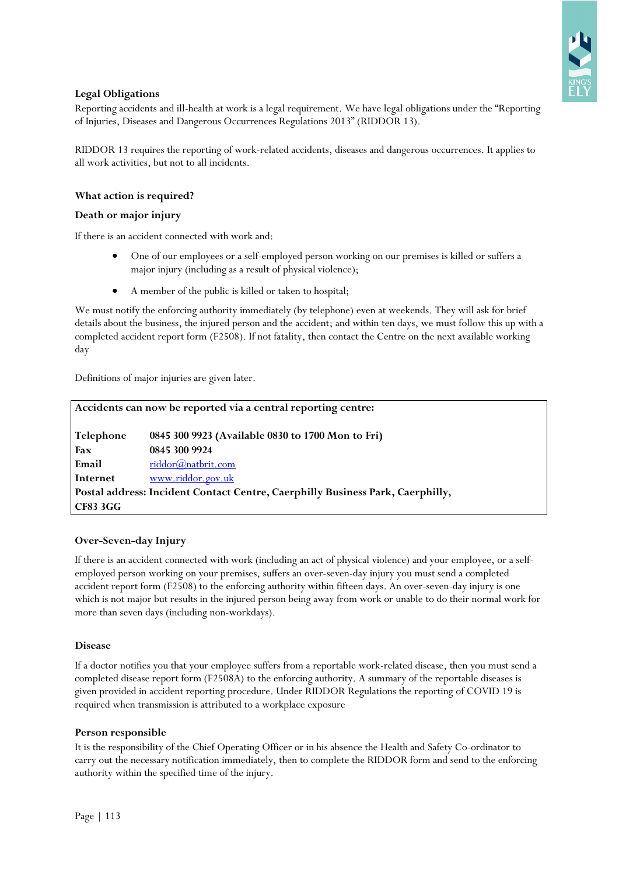

# **Legal Obligations**

Reporting accidents and ill-health at work is a legal requirement. We have legal obligations under the "Reporting of Injuries, Diseases and Dangerous Occurrences Regulations 2013" (RIDDOR 13).

RIDDOR 13 requires the reporting of work-related accidents, diseases and dangerous occurrences. It applies to all work activities, but not to all incidents.

## **What action is required?**

#### **Death or major injury**

If there is an accident connected with work and:

- One of our employees or a self-employed person working on our premises is killed or suffers a major injury (including as a result of physical violence);
- A member of the public is killed or taken to hospital;

We must notify the enforcing authority immediately (by telephone) even at weekends. They will ask for brief details about the business, the injured person and the accident; and within ten days, we must follow this up with a completed accident report form (F2508). If not fatality, then contact the Centre on the next available working day

Definitions of major injuries are given later.

| Accidents can now be reported via a central reporting centre: |                                                                                |  |  |  |
|---------------------------------------------------------------|--------------------------------------------------------------------------------|--|--|--|
| Telephone                                                     | 0845 300 9923 (Available 0830 to 1700 Mon to Fri)                              |  |  |  |
| Fax                                                           | 0845 300 9924                                                                  |  |  |  |
| Email                                                         | riddor@natbrit.com                                                             |  |  |  |
| Internet                                                      | www.riddor.gov.uk                                                              |  |  |  |
|                                                               | Postal address: Incident Contact Centre, Caerphilly Business Park, Caerphilly, |  |  |  |
| <b>CF83 3GG</b>                                               |                                                                                |  |  |  |

## **Over-Seven-day Injury**

If there is an accident connected with work (including an act of physical violence) and your employee, or a selfemployed person working on your premises, suffers an over-seven-day injury you must send a completed accident report form (F2508) to the enforcing authority within fifteen days. An over-seven-day injury is one which is not major but results in the injured person being away from work or unable to do their normal work for more than seven days (including non-workdays).

#### **Disease**

If a doctor notifies you that your employee suffers from a reportable work-related disease, then you must send a completed disease report form (F2508A) to the enforcing authority. A summary of the reportable diseases is given provided in accident reporting procedure. Under RIDDOR Regulations the reporting of COVID 19 is required when transmission is attributed to a workplace exposure

#### **Person responsible**

It is the responsibility of the Chief Operating Officer or in his absence the Health and Safety Co-ordinator to carry out the necessary notification immediately, then to complete the RIDDOR form and send to the enforcing authority within the specified time of the injury.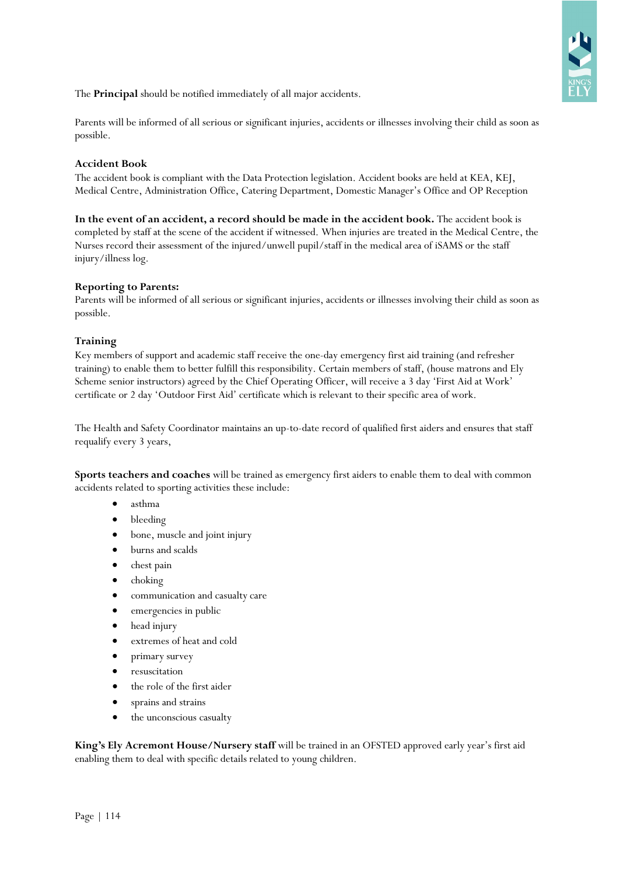

The **Principal** should be notified immediately of all major accidents.

Parents will be informed of all serious or significant injuries, accidents or illnesses involving their child as soon as possible.

## **Accident Book**

The accident book is compliant with the Data Protection legislation. Accident books are held at KEA, KEJ, Medical Centre, Administration Office, Catering Department, Domestic Manager's Office and OP Reception

**In the event of an accident, a record should be made in the accident book.** The accident book is completed by staff at the scene of the accident if witnessed. When injuries are treated in the Medical Centre, the Nurses record their assessment of the injured/unwell pupil/staff in the medical area of iSAMS or the staff injury/illness log.

#### **Reporting to Parents:**

Parents will be informed of all serious or significant injuries, accidents or illnesses involving their child as soon as possible.

## **Training**

Key members of support and academic staff receive the one-day emergency first aid training (and refresher training) to enable them to better fulfill this responsibility. Certain members of staff, (house matrons and Ely Scheme senior instructors) agreed by the Chief Operating Officer, will receive a 3 day 'First Aid at Work' certificate or 2 day 'Outdoor First Aid' certificate which is relevant to their specific area of work.

The Health and Safety Coordinator maintains an up-to-date record of qualified first aiders and ensures that staff requalify every 3 years,

**Sports teachers and coaches** will be trained as emergency first aiders to enable them to deal with common accidents related to sporting activities these include:

- asthma
- bleeding
- bone, muscle and joint injury
- burns and scalds
- chest pain
- choking
- communication and casualty care
- emergencies in public
- head injury
- extremes of heat and cold
- primary survey
- resuscitation
- the role of the first aider
- sprains and strains
- the unconscious casualty

**King's Ely Acremont House/Nursery staff** will be trained in an OFSTED approved early year's first aid enabling them to deal with specific details related to young children.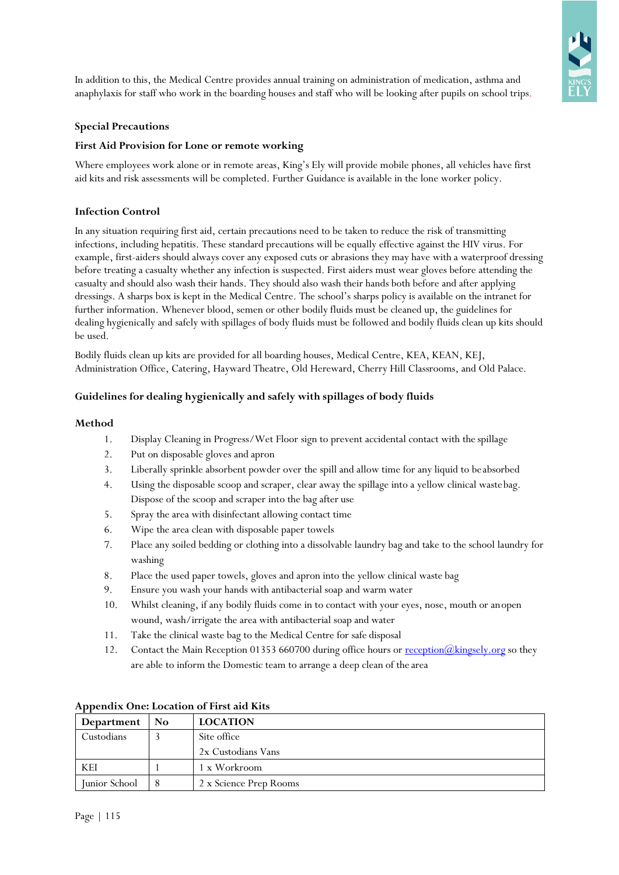In addition to this, the Medical Centre provides annual training on administration of medication, asthma and anaphylaxis for staff who work in the boarding houses and staff who will be looking after pupils on school trips.

## **Special Precautions**

## **First Aid Provision for Lone or remote working**

Where employees work alone or in remote areas, King's Ely will provide mobile phones, all vehicles have first aid kits and risk assessments will be completed. Further Guidance is available in the lone worker policy.

## **Infection Control**

In any situation requiring first aid, certain precautions need to be taken to reduce the risk of transmitting infections, including hepatitis. These standard precautions will be equally effective against the HIV virus. For example, first-aiders should always cover any exposed cuts or abrasions they may have with a waterproof dressing before treating a casualty whether any infection is suspected. First aiders must wear gloves before attending the casualty and should also wash their hands. They should also wash their hands both before and after applying dressings. A sharps box is kept in the Medical Centre. The school's sharps policy is available on the intranet for further information. Whenever blood, semen or other bodily fluids must be cleaned up, the guidelines for dealing hygienically and safely with spillages of body fluids must be followed and bodily fluids clean up kits should be used.

Bodily fluids clean up kits are provided for all boarding houses, Medical Centre, KEA, KEAN, KEJ, Administration Office, Catering, Hayward Theatre, Old Hereward, Cherry Hill Classrooms, and Old Palace.

## **Guidelines for dealing hygienically and safely with spillages of body fluids**

## **Method**

- 1. Display Cleaning in Progress/Wet Floor sign to prevent accidental contact with the spillage
- 2. Put on disposable gloves and apron
- 3. Liberally sprinkle absorbent powder over the spill and allow time for any liquid to beabsorbed
- 4. Using the disposable scoop and scraper, clear away the spillage into a yellow clinical wastebag. Dispose of the scoop and scraper into the bag after use
- 5. Spray the area with disinfectant allowing contact time
- 6. Wipe the area clean with disposable paper towels
- 7. Place any soiled bedding or clothing into a dissolvable laundry bag and take to the school laundry for washing
- 8. Place the used paper towels, gloves and apron into the yellow clinical waste bag
- 9. Ensure you wash your hands with antibacterial soap and warm water
- 10. Whilst cleaning, if any bodily fluids come in to contact with your eyes, nose, mouth or anopen wound, wash/irrigate the area with antibacterial soap and water
- 11. Take the clinical waste bag to the Medical Centre for safe disposal
- 12. Contact the Main Reception 01353 660700 during office hours or reception( $Q$ kingsely.org so they are able to inform the Domestic team to arrange a deep clean of the area

| Department    | No | <b>LOCATION</b>        |
|---------------|----|------------------------|
| Custodians    |    | Site office            |
|               |    | 2x Custodians Vans     |
| KEI           |    | 1 x Workroom           |
| Junior School |    | 2 x Science Prep Rooms |

## **Appendix One: Location of First aid Kits**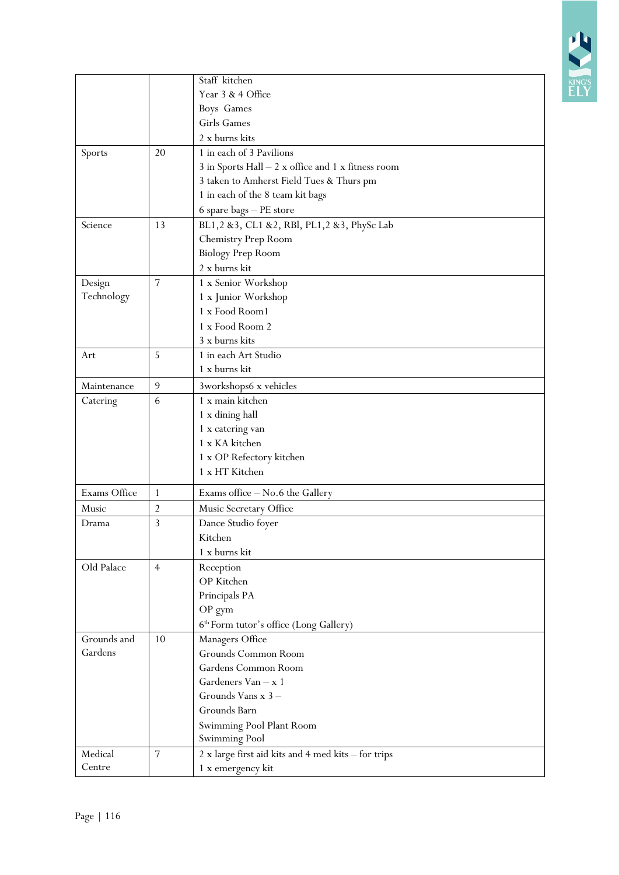

|              |                | Staff kitchen                                                         |
|--------------|----------------|-----------------------------------------------------------------------|
|              |                | Year 3 & 4 Office                                                     |
|              |                | Boys Games                                                            |
|              |                | Girls Games                                                           |
|              |                | 2 x burns kits                                                        |
| Sports       | 20             | 1 in each of 3 Pavilions                                              |
|              |                | $3$ in Sports Hall $ 2$ $\times$ office and $1$ $\times$ fitness room |
|              |                | 3 taken to Amherst Field Tues & Thurs pm                              |
|              |                | 1 in each of the 8 team kit bags                                      |
|              |                | 6 spare bags - PE store                                               |
| Science      | 13             | BL1,2 &3, CL1 &2, RBl, PL1,2 &3, PhySc Lab                            |
|              |                | Chemistry Prep Room                                                   |
|              |                | <b>Biology Prep Room</b>                                              |
|              |                | 2 x burns kit                                                         |
| Design       | $\overline{7}$ | 1 x Senior Workshop                                                   |
| Technology   |                | 1 x Junior Workshop                                                   |
|              |                | 1 x Food Room1                                                        |
|              |                | 1 x Food Room 2                                                       |
|              |                | 3 x burns kits                                                        |
|              |                | 1 in each Art Studio                                                  |
| Art          | 5              | 1 x burns kit                                                         |
|              |                |                                                                       |
| Maintenance  | 9              | 3workshops6 x vehicles                                                |
| Catering     | 6              | 1 x main kitchen                                                      |
|              |                | 1 x dining hall                                                       |
|              |                | 1 x catering van                                                      |
|              |                | 1 x KA kitchen                                                        |
|              |                | $1\ \rm x$ OP Refectory kitchen                                       |
|              |                | 1 x HT Kitchen                                                        |
| Exams Office | $\mathbf{1}$   | Exams office - No.6 the Gallery                                       |
| Music        | $\overline{2}$ | Music Secretary Office                                                |
| Drama        | 3              | Dance Studio foyer                                                    |
|              |                | Kitchen                                                               |
|              |                | 1 x burns kit                                                         |
| Old Palace   | $\overline{4}$ | Reception                                                             |
|              |                | OP Kitchen                                                            |
|              |                | Principals PA                                                         |
|              |                | OP gym                                                                |
|              |                | 6 <sup>th</sup> Form tutor's office (Long Gallery)                    |
| Grounds and  | 10             | Managers Office                                                       |
| Gardens      |                | Grounds Common Room                                                   |
|              |                | Gardens Common Room                                                   |
|              |                | Gardeners Van - x 1                                                   |
|              |                | Grounds Vans x 3-                                                     |
|              |                | Grounds Barn                                                          |
|              |                | Swimming Pool Plant Room                                              |
|              |                | Swimming Pool                                                         |
| Medical      | 7              | 2 x large first aid kits and 4 med kits - for trips                   |
| Centre       |                | 1 x emergency kit                                                     |
|              |                |                                                                       |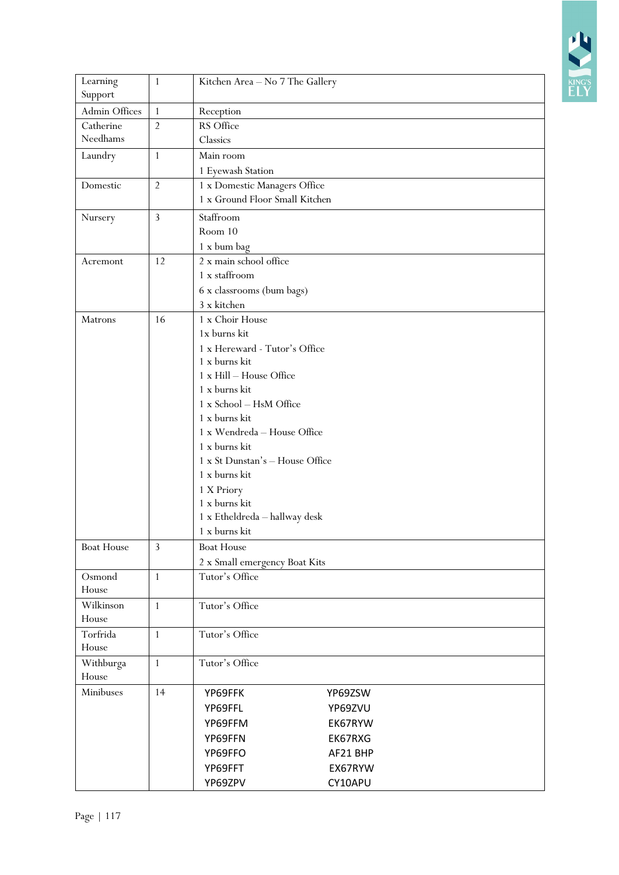

| Learning<br>Support | 1              | Kitchen Area - No 7 The Gallery              |  |  |  |  |  |
|---------------------|----------------|----------------------------------------------|--|--|--|--|--|
| Admin Offices       | $\mathbf{1}$   | Reception                                    |  |  |  |  |  |
| Catherine           | $\overline{2}$ | RS Office                                    |  |  |  |  |  |
| Needhams            |                | Classics                                     |  |  |  |  |  |
| Laundry             | $\mathbf{1}$   | Main room                                    |  |  |  |  |  |
|                     |                | 1 Eyewash Station                            |  |  |  |  |  |
| Domestic            | $\overline{2}$ | 1 x Domestic Managers Office                 |  |  |  |  |  |
|                     |                | 1 x Ground Floor Small Kitchen               |  |  |  |  |  |
| Nursery             | 3              | Staffroom                                    |  |  |  |  |  |
|                     |                | Room 10                                      |  |  |  |  |  |
|                     |                | 1 x bum bag                                  |  |  |  |  |  |
| Acremont            | 12             | 2 x main school office                       |  |  |  |  |  |
|                     |                | 1 x staffroom                                |  |  |  |  |  |
|                     |                | 6 x classrooms (bum bags)                    |  |  |  |  |  |
|                     |                | 3 x kitchen                                  |  |  |  |  |  |
| Matrons             | 16             | 1 x Choir House                              |  |  |  |  |  |
|                     |                | 1x burns kit                                 |  |  |  |  |  |
|                     |                | 1 x Hereward - Tutor's Office                |  |  |  |  |  |
|                     |                | 1 x burns kit                                |  |  |  |  |  |
|                     |                | 1 x Hill - House Office                      |  |  |  |  |  |
|                     |                | 1 x burns kit                                |  |  |  |  |  |
|                     |                | 1 x School - HsM Office                      |  |  |  |  |  |
|                     |                | 1 x burns kit                                |  |  |  |  |  |
|                     |                | 1 x Wendreda - House Office<br>1 x burns kit |  |  |  |  |  |
|                     |                | 1 x St Dunstan's - House Office              |  |  |  |  |  |
|                     |                | 1 x burns kit                                |  |  |  |  |  |
|                     |                | 1 X Priory                                   |  |  |  |  |  |
|                     |                | 1 x burns kit                                |  |  |  |  |  |
|                     |                | 1 x Etheldreda - hallway desk                |  |  |  |  |  |
|                     |                | 1 x burns kit                                |  |  |  |  |  |
| <b>Boat House</b>   | 3              | <b>Boat House</b>                            |  |  |  |  |  |
|                     |                | 2 x Small emergency Boat Kits                |  |  |  |  |  |
| Osmond              | $\mathbf{1}$   | Tutor's Office                               |  |  |  |  |  |
| House               |                |                                              |  |  |  |  |  |
| Wilkinson           | $\mathbf{1}$   | Tutor's Office                               |  |  |  |  |  |
| House               |                |                                              |  |  |  |  |  |
| Torfrida            | 1              | Tutor's Office                               |  |  |  |  |  |
| House               |                |                                              |  |  |  |  |  |
| Withburga           | $\mathbf{1}$   | Tutor's Office                               |  |  |  |  |  |
| House               |                |                                              |  |  |  |  |  |
| Minibuses           | 14             | YP69FFK<br>YP69ZSW                           |  |  |  |  |  |
|                     |                | YP69FFL<br>YP69ZVU                           |  |  |  |  |  |
|                     |                | YP69FFM<br>EK67RYW                           |  |  |  |  |  |
|                     |                | YP69FFN<br>EK67RXG                           |  |  |  |  |  |
|                     |                | YP69FFO<br>AF21 BHP                          |  |  |  |  |  |
|                     |                | YP69FFT<br>EX67RYW                           |  |  |  |  |  |
|                     |                | YP69ZPV<br>CY10APU                           |  |  |  |  |  |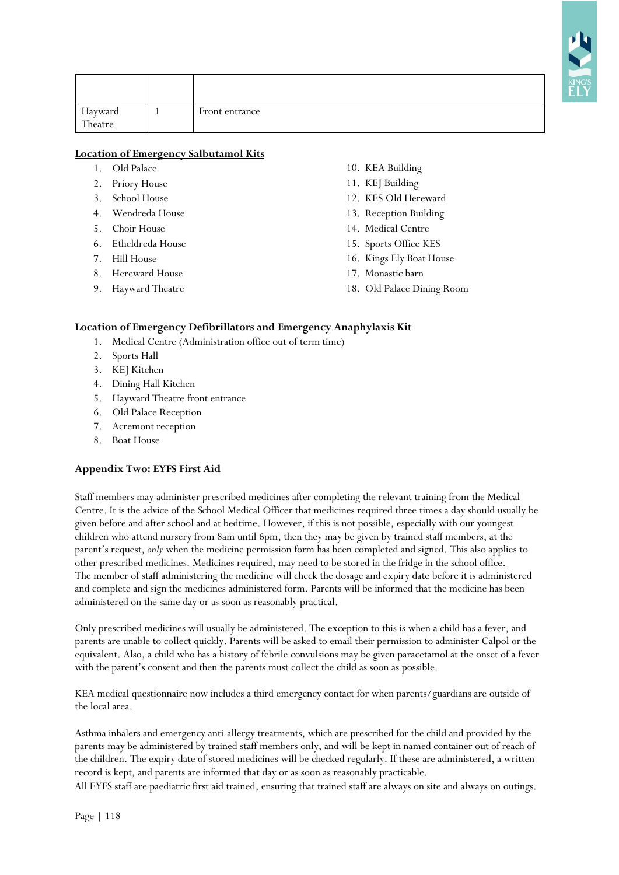| Hayward<br>Theatre | Front entrance |
|--------------------|----------------|

# **Location of Emergency Salbutamol Kits**

- 1. Old Palace
- 2. Priory House
- 3. School House
- 4. Wendreda House
- 5. Choir House
- 6. Etheldreda House
- 7. Hill House
- 8. Hereward House
- 9. Hayward Theatre
- 10. KEA Building
- 11. KEJ Building
- 12. KES Old Hereward
- 13. Reception Building
- 14. Medical Centre
- 15. Sports Office KES
- 16. Kings Ely Boat House
- 17. Monastic barn
- 18. Old Palace Dining Room

## **Location of Emergency Defibrillators and Emergency Anaphylaxis Kit**

- 1. Medical Centre (Administration office out of term time)
- 2. Sports Hall
- 3. KEJ Kitchen
- 4. Dining Hall Kitchen
- 5. Hayward Theatre front entrance
- 6. Old Palace Reception
- 7. Acremont reception
- 8. Boat House

# **Appendix Two: EYFS First Aid**

Staff members may administer prescribed medicines after completing the relevant training from the Medical Centre. It is the advice of the School Medical Officer that medicines required three times a day should usually be given before and after school and at bedtime. However, if this is not possible, especially with our youngest children who attend nursery from 8am until 6pm, then they may be given by trained staff members, at the parent's request, *only* when the medicine permission form has been completed and signed. This also applies to other prescribed medicines. Medicines required, may need to be stored in the fridge in the school office. The member of staff administering the medicine will check the dosage and expiry date before it is administered and complete and sign the medicines administered form. Parents will be informed that the medicine has been administered on the same day or as soon as reasonably practical.

Only prescribed medicines will usually be administered. The exception to this is when a child has a fever, and parents are unable to collect quickly. Parents will be asked to email their permission to administer Calpol or the equivalent. Also, a child who has a history of febrile convulsions may be given paracetamol at the onset of a fever with the parent's consent and then the parents must collect the child as soon as possible.

KEA medical questionnaire now includes a third emergency contact for when parents/guardians are outside of the local area.

Asthma inhalers and emergency anti-allergy treatments, which are prescribed for the child and provided by the parents may be administered by trained staff members only, and will be kept in named container out of reach of the children. The expiry date of stored medicines will be checked regularly. If these are administered, a written record is kept, and parents are informed that day or as soon as reasonably practicable.

All EYFS staff are paediatric first aid trained, ensuring that trained staff are always on site and always on outings.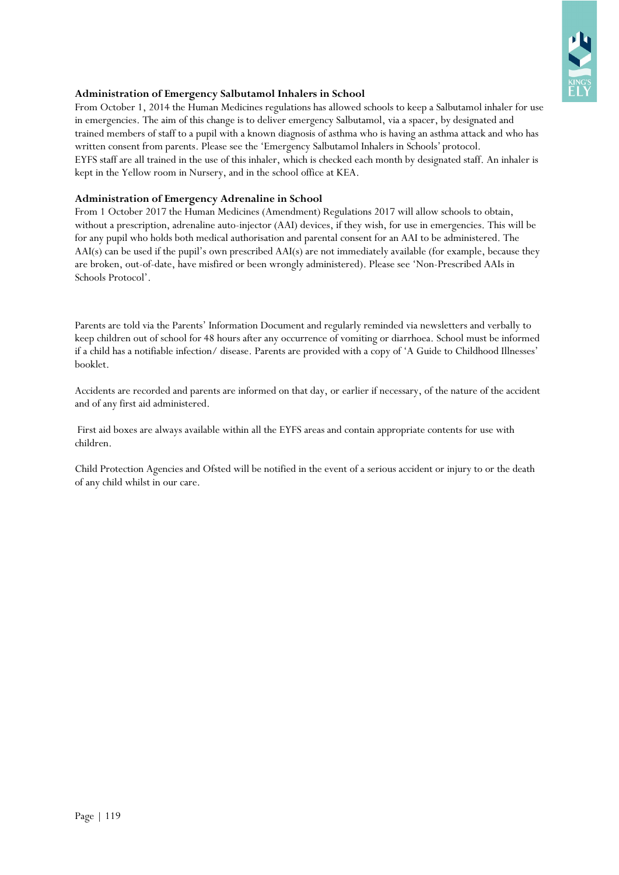

## **Administration of Emergency Salbutamol Inhalers in School**

From October 1, 2014 the Human Medicines regulations has allowed schools to keep a Salbutamol inhaler for use in emergencies. The aim of this change is to deliver emergency Salbutamol, via a spacer, by designated and trained members of staff to a pupil with a known diagnosis of asthma who is having an asthma attack and who has written consent from parents. Please see the 'Emergency Salbutamol Inhalers in Schools' protocol. EYFS staff are all trained in the use of this inhaler, which is checked each month by designated staff. An inhaler is kept in the Yellow room in Nursery, and in the school office at KEA.

## **Administration of Emergency Adrenaline in School**

From 1 October 2017 the Human Medicines (Amendment) Regulations 2017 will allow schools to obtain, without a prescription, adrenaline auto-injector (AAI) devices, if they wish, for use in emergencies. This will be for any pupil who holds both medical authorisation and parental consent for an AAI to be administered. The AAI(s) can be used if the pupil's own prescribed AAI(s) are not immediately available (for example, because they are broken, out-of-date, have misfired or been wrongly administered). Please see 'Non-Prescribed AAIs in Schools Protocol'.

Parents are told via the Parents' Information Document and regularly reminded via newsletters and verbally to keep children out of school for 48 hours after any occurrence of vomiting or diarrhoea. School must be informed if a child has a notifiable infection/ disease. Parents are provided with a copy of 'A Guide to Childhood Illnesses' booklet.

Accidents are recorded and parents are informed on that day, or earlier if necessary, of the nature of the accident and of any first aid administered.

First aid boxes are always available within all the EYFS areas and contain appropriate contents for use with children.

Child Protection Agencies and Ofsted will be notified in the event of a serious accident or injury to or the death of any child whilst in our care.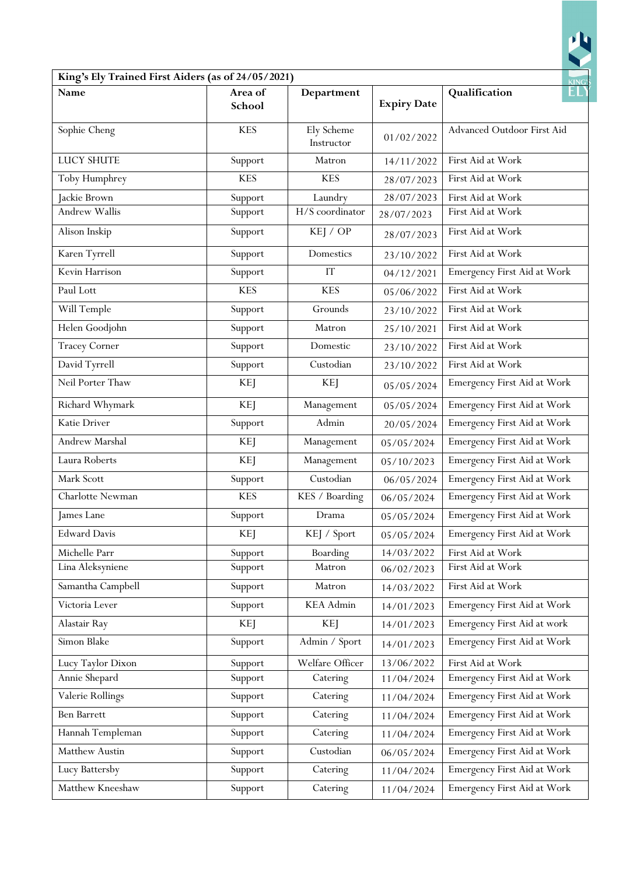| King's Ely Trained First Aiders (as of 24/05/2021) |                   |                          |                    |                             |
|----------------------------------------------------|-------------------|--------------------------|--------------------|-----------------------------|
| Name                                               | Area of<br>School | Department               | <b>Expiry Date</b> | KING'S<br>Qualification     |
| Sophie Cheng                                       | <b>KES</b>        | Ely Scheme<br>Instructor | 01/02/2022         | Advanced Outdoor First Aid  |
| <b>LUCY SHUTE</b>                                  | Support           | Matron                   | 14/11/2022         | First Aid at Work           |
| Toby Humphrey                                      | <b>KES</b>        | <b>KES</b>               | 28/07/2023         | First Aid at Work           |
| Jackie Brown                                       | Support           | Laundry                  | 28/07/2023         | First Aid at Work           |
| <b>Andrew Wallis</b>                               | Support           | H/S coordinator          | 28/07/2023         | First Aid at Work           |
| Alison Inskip                                      | Support           | KEJ / OP                 | 28/07/2023         | First Aid at Work           |
| Karen Tyrrell                                      | Support           | Domestics                | 23/10/2022         | First Aid at Work           |
| Kevin Harrison                                     | Support           | IT                       | 04/12/2021         | Emergency First Aid at Work |
| Paul Lott                                          | <b>KES</b>        | <b>KES</b>               | 05/06/2022         | First Aid at Work           |
| Will Temple                                        | Support           | Grounds                  | 23/10/2022         | First Aid at Work           |
| Helen Goodjohn                                     | Support           | Matron                   | 25/10/2021         | First Aid at Work           |
| <b>Tracey Corner</b>                               | Support           | Domestic                 | 23/10/2022         | First Aid at Work           |
| David Tyrrell                                      | Support           | Custodian                | 23/10/2022         | First Aid at Work           |
| Neil Porter Thaw                                   | KEJ               | KEJ                      | 05/05/2024         | Emergency First Aid at Work |
| Richard Whymark                                    | <b>KEJ</b>        | Management               | 05/05/2024         | Emergency First Aid at Work |
| Katie Driver                                       | Support           | Admin                    | 20/05/2024         | Emergency First Aid at Work |
| Andrew Marshal                                     | KEJ               | Management               | 05/05/2024         | Emergency First Aid at Work |
| Laura Roberts                                      | <b>KEJ</b>        | Management               | 05/10/2023         | Emergency First Aid at Work |
| Mark Scott                                         | Support           | Custodian                | 06/05/2024         | Emergency First Aid at Work |
| Charlotte Newman                                   | <b>KES</b>        | KES / Boarding           | 06/05/2024         | Emergency First Aid at Work |
| James Lane                                         | Support           | Drama                    | 05/05/2024         | Emergency First Aid at Work |
| <b>Edward Davis</b>                                | <b>KEJ</b>        | KEJ / Sport              | 05/05/2024         | Emergency First Aid at Work |
| Michelle Parr                                      | Support           | Boarding                 | 14/03/2022         | First Aid at Work           |
| Lina Aleksyniene                                   | Support           | Matron                   | 06/02/2023         | First Aid at Work           |
| Samantha Campbell                                  | Support           | Matron                   | 14/03/2022         | First Aid at Work           |
| Victoria Lever                                     | Support           | <b>KEA</b> Admin         | 14/01/2023         | Emergency First Aid at Work |
| Alastair Ray                                       | <b>KEJ</b>        | KEJ                      | 14/01/2023         | Emergency First Aid at work |
| Simon Blake                                        | Support           | Admin / Sport            | 14/01/2023         | Emergency First Aid at Work |
| Lucy Taylor Dixon                                  | Support           | Welfare Officer          | 13/06/2022         | First Aid at Work           |
| Annie Shepard                                      | Support           | Catering                 | 11/04/2024         | Emergency First Aid at Work |
| Valerie Rollings                                   | Support           | Catering                 | 11/04/2024         | Emergency First Aid at Work |
| <b>Ben Barrett</b>                                 | Support           | Catering                 | 11/04/2024         | Emergency First Aid at Work |
| Hannah Templeman                                   | Support           | Catering                 | 11/04/2024         | Emergency First Aid at Work |
| Matthew Austin                                     | Support           | Custodian                | 06/05/2024         | Emergency First Aid at Work |
| Lucy Battersby                                     | Support           | Catering                 | 11/04/2024         | Emergency First Aid at Work |
| Matthew Kneeshaw                                   | Support           | Catering                 | 11/04/2024         | Emergency First Aid at Work |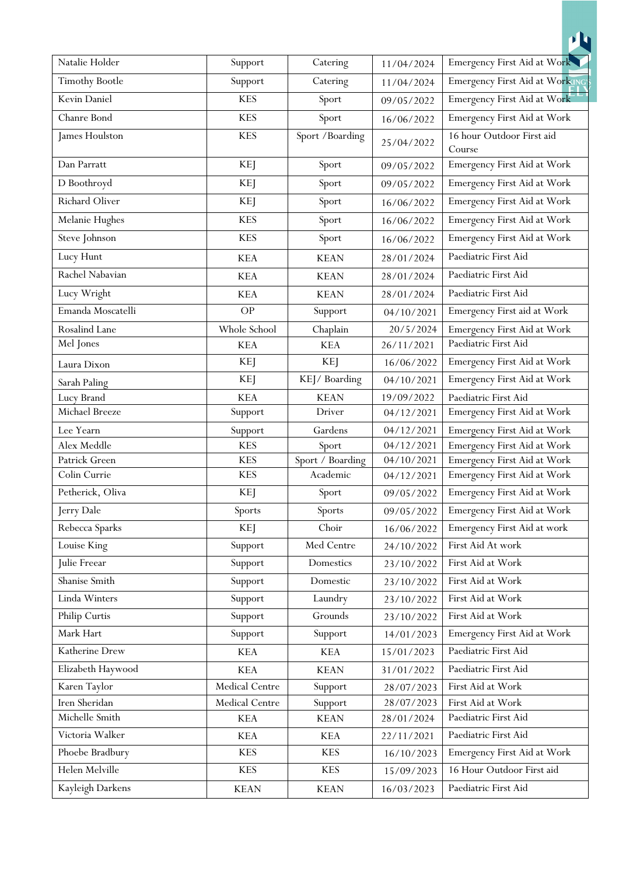|                            |                |                  |            | <b>ih</b>                           |
|----------------------------|----------------|------------------|------------|-------------------------------------|
| Natalie Holder             | Support        | Catering         | 11/04/2024 | Emergency First Aid at Work         |
| <b>Timothy Bootle</b>      | Support        | Catering         | 11/04/2024 | Emergency First Aid at Working      |
| Kevin Daniel               | <b>KES</b>     | Sport            | 09/05/2022 | Emergency First Aid at Work         |
| Chanre Bond                | <b>KES</b>     | Sport            | 16/06/2022 | Emergency First Aid at Work         |
| James Houlston             | <b>KES</b>     | Sport / Boarding | 25/04/2022 | 16 hour Outdoor First aid<br>Course |
| Dan Parratt                | <b>KEJ</b>     | Sport            | 09/05/2022 | Emergency First Aid at Work         |
| D Boothroyd                | <b>KEJ</b>     | Sport            | 09/05/2022 | Emergency First Aid at Work         |
| Richard Oliver             | <b>KEJ</b>     | Sport            | 16/06/2022 | Emergency First Aid at Work         |
| Melanie Hughes             | <b>KES</b>     | Sport            | 16/06/2022 | Emergency First Aid at Work         |
| Steve Johnson              | <b>KES</b>     | Sport            | 16/06/2022 | Emergency First Aid at Work         |
| Lucy Hunt                  | <b>KEA</b>     | <b>KEAN</b>      | 28/01/2024 | Paediatric First Aid                |
| Rachel Nabavian            | <b>KEA</b>     | <b>KEAN</b>      | 28/01/2024 | Paediatric First Aid                |
| Lucy Wright                | <b>KEA</b>     | <b>KEAN</b>      | 28/01/2024 | Paediatric First Aid                |
| Emanda Moscatelli          | <b>OP</b>      | Support          | 04/10/2021 | Emergency First aid at Work         |
| Rosalind Lane              | Whole School   | Chaplain         | 20/5/2024  | Emergency First Aid at Work         |
| Mel Jones                  | <b>KEA</b>     | <b>KEA</b>       | 26/11/2021 | Paediatric First Aid                |
|                            | <b>KEJ</b>     | KEJ              | 16/06/2022 | Emergency First Aid at Work         |
| Laura Dixon                | KEJ            | KEJ/Boarding     | 04/10/2021 | Emergency First Aid at Work         |
| Sarah Paling<br>Lucy Brand | <b>KEA</b>     | <b>KEAN</b>      | 19/09/2022 | Paediatric First Aid                |
| Michael Breeze             | Support        | Driver           | 04/12/2021 | Emergency First Aid at Work         |
| Lee Yearn                  | Support        | Gardens          | 04/12/2021 | Emergency First Aid at Work         |
| Alex Meddle                | <b>KES</b>     | Sport            | 04/12/2021 | Emergency First Aid at Work         |
| Patrick Green              | <b>KES</b>     | Sport / Boarding | 04/10/2021 | Emergency First Aid at Work         |
| Colin Currie               | <b>KES</b>     | Academic         | 04/12/2021 | Emergency First Aid at Work         |
| Petherick, Oliva           | <b>KEJ</b>     | Sport            | 09/05/2022 | Emergency First Aid at Work         |
| Jerry Dale                 | Sports         | Sports           | 09/05/2022 | Emergency First Aid at Work         |
| Rebecca Sparks             | <b>KEJ</b>     | Choir            | 16/06/2022 | Emergency First Aid at work         |
| Louise King                | Support        | Med Centre       | 24/10/2022 | First Aid At work                   |
| Julie Freear               | Support        | Domestics        | 23/10/2022 | First Aid at Work                   |
| Shanise Smith              | Support        | Domestic         | 23/10/2022 | First Aid at Work                   |
| Linda Winters              | Support        | Laundry          | 23/10/2022 | First Aid at Work                   |
| Philip Curtis              | Support        | Grounds          | 23/10/2022 | First Aid at Work                   |
| Mark Hart                  | Support        | Support          | 14/01/2023 | Emergency First Aid at Work         |
| Katherine Drew             | KEA            | KEA              | 15/01/2023 | Paediatric First Aid                |
| Elizabeth Haywood          | <b>KEA</b>     | <b>KEAN</b>      | 31/01/2022 | Paediatric First Aid                |
| Karen Taylor               | Medical Centre | Support          | 28/07/2023 | First Aid at Work                   |
| Iren Sheridan              | Medical Centre | Support          | 28/07/2023 | First Aid at Work                   |
| Michelle Smith             | <b>KEA</b>     | <b>KEAN</b>      | 28/01/2024 | Paediatric First Aid                |
| Victoria Walker            | <b>KEA</b>     | <b>KEA</b>       | 22/11/2021 | Paediatric First Aid                |
| Phoebe Bradbury            | <b>KES</b>     | <b>KES</b>       | 16/10/2023 | Emergency First Aid at Work         |
| Helen Melville             | <b>KES</b>     | <b>KES</b>       | 15/09/2023 | 16 Hour Outdoor First aid           |
| Kayleigh Darkens           | <b>KEAN</b>    | <b>KEAN</b>      | 16/03/2023 | Paediatric First Aid                |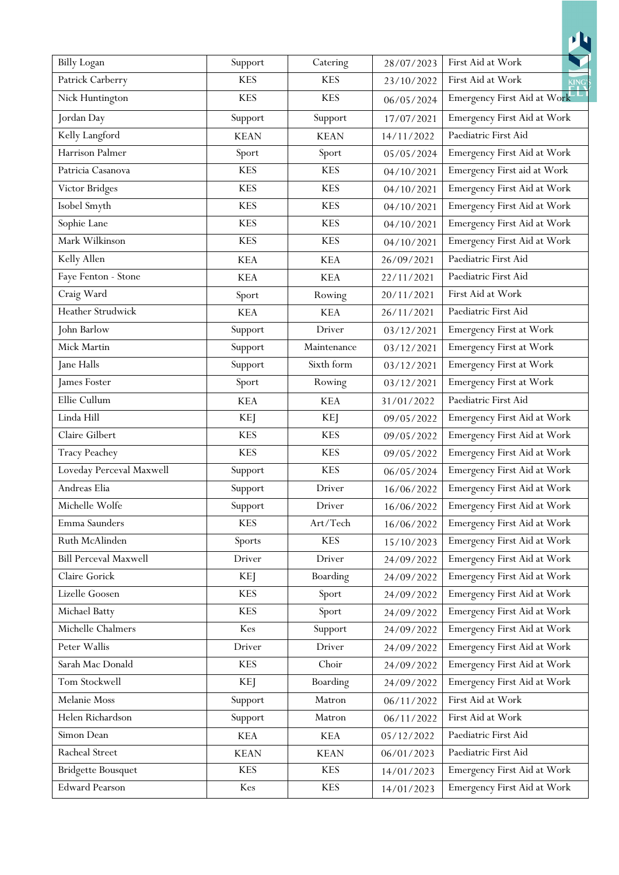| <b>Billy Logan</b>           | Support        | Catering    | 28/07/2023 | First Aid at Work           |
|------------------------------|----------------|-------------|------------|-----------------------------|
| Patrick Carberry             | <b>KES</b>     | <b>KES</b>  | 23/10/2022 | First Aid at Work<br>KING'  |
| Nick Huntington              | <b>KES</b>     | <b>KES</b>  | 06/05/2024 | Emergency First Aid at Work |
| Jordan Day                   | Support        | Support     | 17/07/2021 | Emergency First Aid at Work |
| Kelly Langford               | <b>KEAN</b>    | <b>KEAN</b> | 14/11/2022 | Paediatric First Aid        |
| Harrison Palmer              | Sport          | Sport       | 05/05/2024 | Emergency First Aid at Work |
| Patricia Casanova            | <b>KES</b>     | <b>KES</b>  | 04/10/2021 | Emergency First aid at Work |
| Victor Bridges               | <b>KES</b>     | <b>KES</b>  | 04/10/2021 | Emergency First Aid at Work |
| Isobel Smyth                 | <b>KES</b>     | <b>KES</b>  | 04/10/2021 | Emergency First Aid at Work |
| Sophie Lane                  | <b>KES</b>     | <b>KES</b>  | 04/10/2021 | Emergency First Aid at Work |
| Mark Wilkinson               | <b>KES</b>     | <b>KES</b>  | 04/10/2021 | Emergency First Aid at Work |
| Kelly Allen                  | <b>KEA</b>     | <b>KEA</b>  | 26/09/2021 | Paediatric First Aid        |
| Faye Fenton - Stone          | <b>KEA</b>     | <b>KEA</b>  | 22/11/2021 | Paediatric First Aid        |
| Craig Ward                   | Sport          | Rowing      | 20/11/2021 | First Aid at Work           |
| Heather Strudwick            | <b>KEA</b>     | <b>KEA</b>  | 26/11/2021 | Paediatric First Aid        |
| John Barlow                  | Support        | Driver      | 03/12/2021 | Emergency First at Work     |
| Mick Martin                  | Support        | Maintenance | 03/12/2021 | Emergency First at Work     |
| Jane Halls                   | Support        | Sixth form  | 03/12/2021 | Emergency First at Work     |
| James Foster                 | Sport          | Rowing      | 03/12/2021 | Emergency First at Work     |
| Ellie Cullum                 | <b>KEA</b>     | <b>KEA</b>  | 31/01/2022 | Paediatric First Aid        |
| Linda Hill                   | KEJ            | <b>KEJ</b>  | 09/05/2022 | Emergency First Aid at Work |
| Claire Gilbert               | <b>KES</b>     | <b>KES</b>  | 09/05/2022 | Emergency First Aid at Work |
| <b>Tracy Peachey</b>         | <b>KES</b>     | <b>KES</b>  | 09/05/2022 | Emergency First Aid at Work |
| Loveday Perceval Maxwell     | Support        | <b>KES</b>  | 06/05/2024 | Emergency First Aid at Work |
| Andreas Elia                 | Support<br>1 T | Driver      | 16/06/2022 | Emergency First Aid at Work |
| Michelle Wolfe               | Support        | Driver      | 16/06/2022 | Emergency First Aid at Work |
| Emma Saunders                | <b>KES</b>     | Art/Tech    | 16/06/2022 | Emergency First Aid at Work |
| Ruth McAlinden               | Sports         | <b>KES</b>  | 15/10/2023 | Emergency First Aid at Work |
| <b>Bill Perceval Maxwell</b> | Driver         | Driver      | 24/09/2022 | Emergency First Aid at Work |
| Claire Gorick                | <b>KEJ</b>     | Boarding    | 24/09/2022 | Emergency First Aid at Work |
| Lizelle Goosen               | <b>KES</b>     | Sport       | 24/09/2022 | Emergency First Aid at Work |
| Michael Batty                | <b>KES</b>     | Sport       | 24/09/2022 | Emergency First Aid at Work |
| Michelle Chalmers            | Kes            | Support     | 24/09/2022 | Emergency First Aid at Work |
| Peter Wallis                 | Driver         | Driver      | 24/09/2022 | Emergency First Aid at Work |
| Sarah Mac Donald             | <b>KES</b>     | Choir       | 24/09/2022 | Emergency First Aid at Work |
| Tom Stockwell                | <b>KEJ</b>     | Boarding    | 24/09/2022 | Emergency First Aid at Work |
| Melanie Moss                 | Support        | Matron      | 06/11/2022 | First Aid at Work           |
| Helen Richardson             | Support        | Matron      | 06/11/2022 | First Aid at Work           |
| Simon Dean                   | KEA            | KEA         | 05/12/2022 | Paediatric First Aid        |
| Racheal Street               | <b>KEAN</b>    | <b>KEAN</b> | 06/01/2023 | Paediatric First Aid        |
| <b>Bridgette Bousquet</b>    | <b>KES</b>     | KES         | 14/01/2023 | Emergency First Aid at Work |
| <b>Edward Pearson</b>        | Kes            | <b>KES</b>  | 14/01/2023 | Emergency First Aid at Work |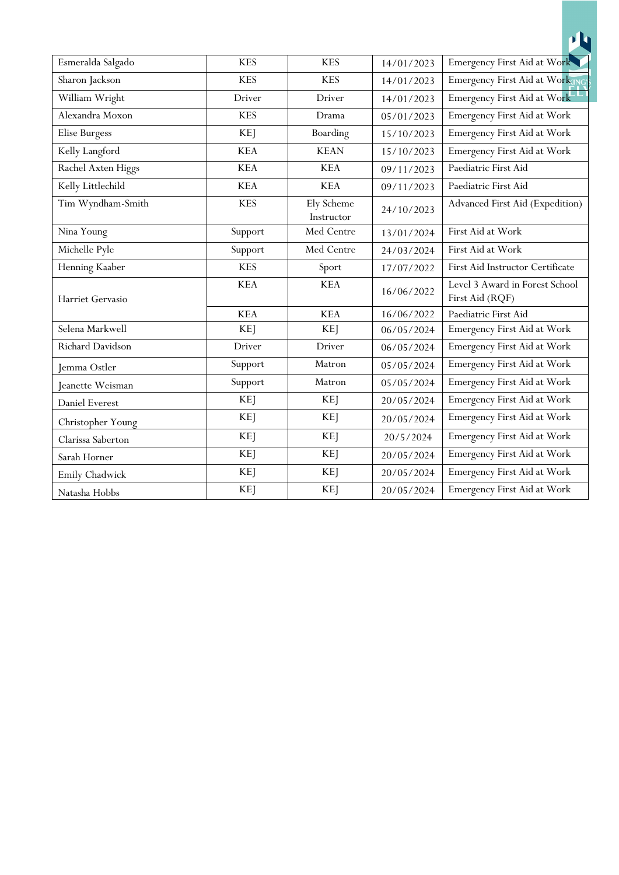| Esmeralda Salgado  | <b>KES</b> | <b>KES</b>               | 14/01/2023 | Emergency First Aid at Work                       |
|--------------------|------------|--------------------------|------------|---------------------------------------------------|
| Sharon Jackson     | <b>KES</b> | <b>KES</b>               | 14/01/2023 | Emergency First Aid at Working                    |
| William Wright     | Driver     | Driver                   | 14/01/2023 | Emergency First Aid at Work                       |
| Alexandra Moxon    | <b>KES</b> | Drama                    | 05/01/2023 | Emergency First Aid at Work                       |
| Elise Burgess      | <b>KEJ</b> | Boarding                 | 15/10/2023 | Emergency First Aid at Work                       |
| Kelly Langford     | <b>KEA</b> | <b>KEAN</b>              | 15/10/2023 | Emergency First Aid at Work                       |
| Rachel Axten Higgs | <b>KEA</b> | <b>KEA</b>               | 09/11/2023 | Paediatric First Aid                              |
| Kelly Littlechild  | <b>KEA</b> | <b>KEA</b>               | 09/11/2023 | Paediatric First Aid                              |
| Tim Wyndham-Smith  | <b>KES</b> | Ely Scheme<br>Instructor | 24/10/2023 | Advanced First Aid (Expedition)                   |
| Nina Young         | Support    | Med Centre               | 13/01/2024 | First Aid at Work                                 |
| Michelle Pyle      | Support    | Med Centre               | 24/03/2024 | First Aid at Work                                 |
| Henning Kaaber     | <b>KES</b> | Sport                    | 17/07/2022 | First Aid Instructor Certificate                  |
| Harriet Gervasio   | <b>KEA</b> | <b>KEA</b>               | 16/06/2022 | Level 3 Award in Forest School<br>First Aid (RQF) |
|                    | <b>KEA</b> | <b>KEA</b>               | 16/06/2022 | Paediatric First Aid                              |
| Selena Markwell    | <b>KEJ</b> | <b>KEJ</b>               | 06/05/2024 | Emergency First Aid at Work                       |
| Richard Davidson   | Driver     | Driver                   | 06/05/2024 | Emergency First Aid at Work                       |
| Jemma Ostler       | Support    | Matron                   | 05/05/2024 | Emergency First Aid at Work                       |
| Jeanette Weisman   | Support    | Matron                   | 05/05/2024 | Emergency First Aid at Work                       |
| Daniel Everest     | KEJ        | <b>KEJ</b>               | 20/05/2024 | Emergency First Aid at Work                       |
| Christopher Young  | <b>KEJ</b> | <b>KEJ</b>               | 20/05/2024 | Emergency First Aid at Work                       |
| Clarissa Saberton  | <b>KEJ</b> | <b>KEJ</b>               | 20/5/2024  | Emergency First Aid at Work                       |
| Sarah Horner       | <b>KEJ</b> | <b>KEJ</b>               | 20/05/2024 | Emergency First Aid at Work                       |
| Emily Chadwick     | <b>KEJ</b> | <b>KEJ</b>               | 20/05/2024 | Emergency First Aid at Work                       |
| Natasha Hobbs      | <b>KEJ</b> | <b>KEJ</b>               | 20/05/2024 | Emergency First Aid at Work                       |

山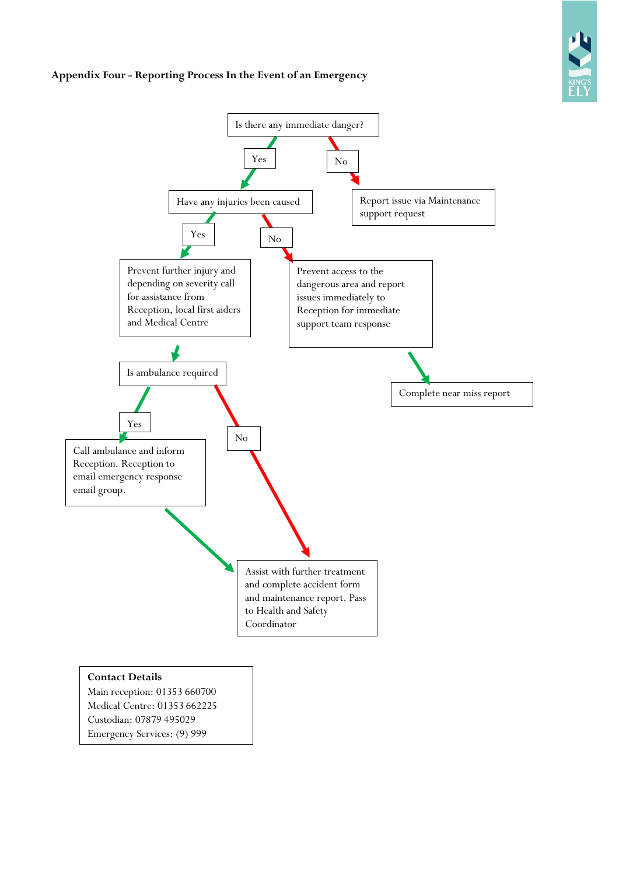# **Appendix Four - Reporting Process In the Event of an Emergency**